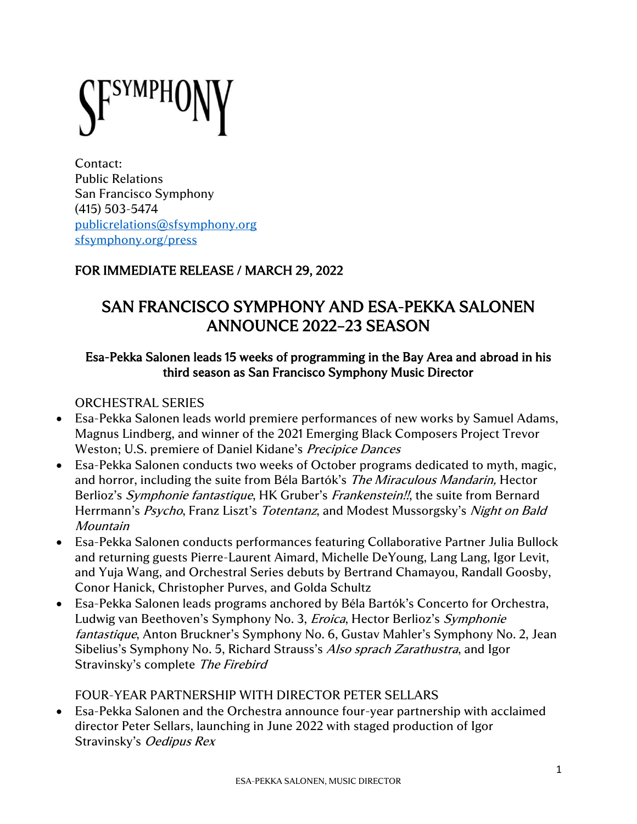Contact: Public Relations San Francisco Symphony (415) 503-5474 [publicrelations@sfsymphony.org](mailto:publicrelations@sfsymphony.org) [sfsymphony.org/press](http://www.sfsymphony.org/press)

## FOR IMMEDIATE RELEASE / MARCH 29, 2022

# SAN FRANCISCO SYMPHONY AND ESA-PEKKA SALONEN ANNOUNCE 2022–23 SEASON

#### Esa-Pekka Salonen leads 15 weeks of programming in the Bay Area and abroad in his third season as San Francisco Symphony Music Director

## ORCHESTRAL SERIES

- Esa-Pekka Salonen leads world premiere performances of new works by Samuel Adams, Magnus Lindberg, and winner of the 2021 Emerging Black Composers Project Trevor Weston; U.S. premiere of Daniel Kidane's Precipice Dances
- Esa-Pekka Salonen conducts two weeks of October programs dedicated to myth, magic, and horror, including the suite from Béla Bartók's The Miraculous Mandarin, Hector Berlioz's Symphonie fantastique, HK Gruber's Frankenstein!!, the suite from Bernard Herrmann's Psycho, Franz Liszt's Totentanz, and Modest Mussorgsky's Night on Bald Mountain
- Esa-Pekka Salonen conducts performances featuring Collaborative Partner Julia Bullock and returning guests Pierre-Laurent Aimard, Michelle DeYoung, Lang Lang, Igor Levit, and Yuja Wang, and Orchestral Series debuts by Bertrand Chamayou, Randall Goosby, Conor Hanick, Christopher Purves, and Golda Schultz
- Esa-Pekka Salonen leads programs anchored by Béla Bartók's Concerto for Orchestra, Ludwig van Beethoven's Symphony No. 3, Eroica, Hector Berlioz's Symphonie fantastique, Anton Bruckner's Symphony No. 6, Gustav Mahler's Symphony No. 2, Jean Sibelius's Symphony No. 5, Richard Strauss's Also sprach Zarathustra, and Igor Stravinsky's complete The Firebird

## FOUR-YEAR PARTNERSHIP WITH DIRECTOR PETER SELLARS

• Esa-Pekka Salonen and the Orchestra announce four-year partnership with acclaimed director Peter Sellars, launching in June 2022 with staged production of Igor Stravinsky's Oedipus Rex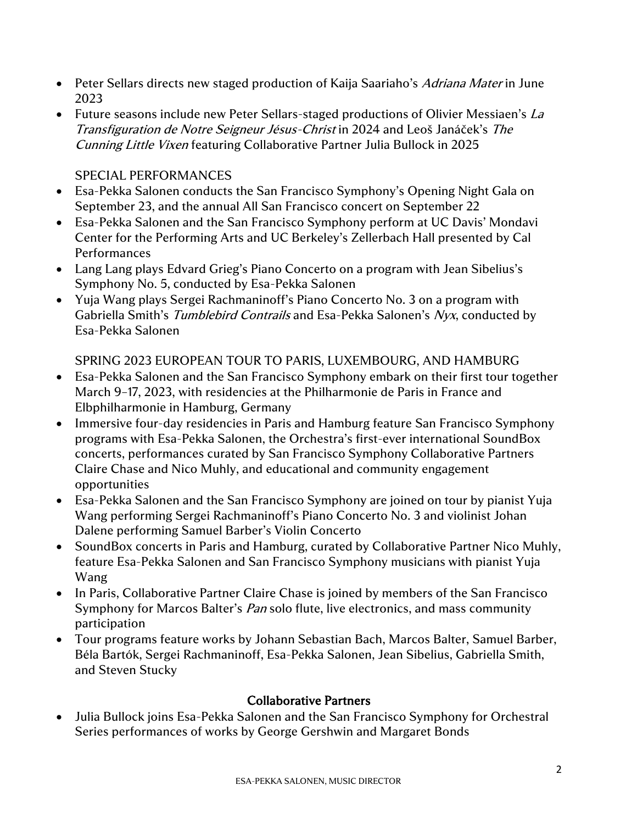- Peter Sellars directs new staged production of Kaija Saariaho's Adriana Mater in June 2023
- Future seasons include new Peter Sellars-staged productions of Olivier Messiaen's La Transfiguration de Notre Seigneur Jésus-Christ in 2024 and Leoš Janáček's The Cunning Little Vixen featuring Collaborative Partner Julia Bullock in 2025

#### SPECIAL PERFORMANCES

- Esa-Pekka Salonen conducts the San Francisco Symphony's Opening Night Gala on September 23, and the annual All San Francisco concert on September 22
- Esa-Pekka Salonen and the San Francisco Symphony perform at UC Davis' Mondavi Center for the Performing Arts and UC Berkeley's Zellerbach Hall presented by Cal Performances
- Lang Lang plays Edvard Grieg's Piano Concerto on a program with Jean Sibelius's Symphony No. 5, conducted by Esa-Pekka Salonen
- Yuja Wang plays Sergei Rachmaninoff's Piano Concerto No. 3 on a program with Gabriella Smith's Tumblebird Contrails and Esa-Pekka Salonen's Nyx, conducted by Esa-Pekka Salonen

SPRING 2023 EUROPEAN TOUR TO PARIS, LUXEMBOURG, AND HAMBURG

- Esa-Pekka Salonen and the San Francisco Symphony embark on their first tour together March 9–17, 2023, with residencies at the Philharmonie de Paris in France and Elbphilharmonie in Hamburg, Germany
- Immersive four-day residencies in Paris and Hamburg feature San Francisco Symphony programs with Esa-Pekka Salonen, the Orchestra's first-ever international SoundBox concerts, performances curated by San Francisco Symphony Collaborative Partners Claire Chase and Nico Muhly, and educational and community engagement opportunities
- Esa-Pekka Salonen and the San Francisco Symphony are joined on tour by pianist Yuja Wang performing Sergei Rachmaninoff's Piano Concerto No. 3 and violinist Johan Dalene performing Samuel Barber's Violin Concerto
- SoundBox concerts in Paris and Hamburg, curated by Collaborative Partner Nico Muhly, feature Esa-Pekka Salonen and San Francisco Symphony musicians with pianist Yuja Wang
- In Paris, Collaborative Partner Claire Chase is joined by members of the San Francisco Symphony for Marcos Balter's *Pan* solo flute, live electronics, and mass community participation
- Tour programs feature works by Johann Sebastian Bach, Marcos Balter, Samuel Barber, Béla Bartók, Sergei Rachmaninoff, Esa-Pekka Salonen, Jean Sibelius, Gabriella Smith, and Steven Stucky

#### Collaborative Partners

• Julia Bullock joins Esa-Pekka Salonen and the San Francisco Symphony for Orchestral Series performances of works by George Gershwin and Margaret Bonds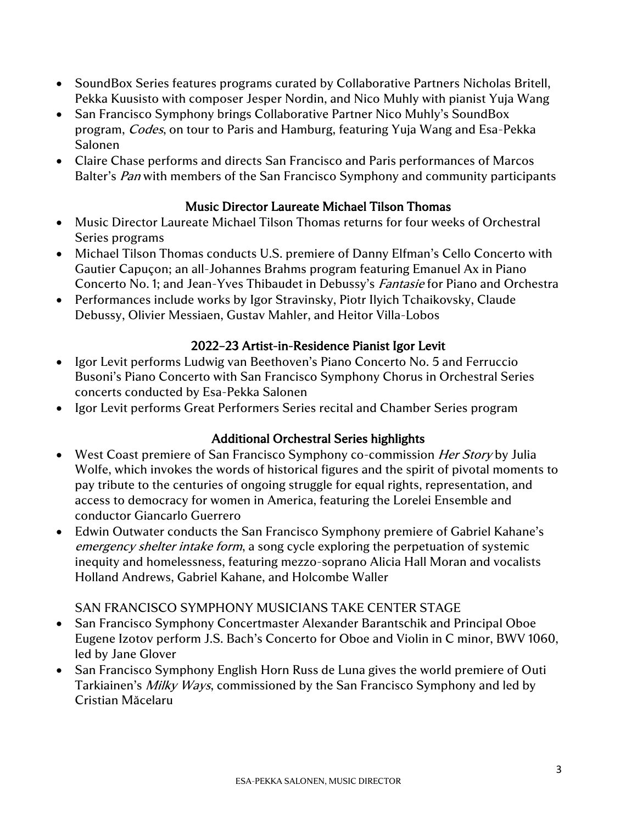- SoundBox Series features programs curated by Collaborative Partners Nicholas Britell, Pekka Kuusisto with composer Jesper Nordin, and Nico Muhly with pianist Yuja Wang
- San Francisco Symphony brings Collaborative Partner Nico Muhly's SoundBox program, Codes, on tour to Paris and Hamburg, featuring Yuja Wang and Esa-Pekka Salonen
- Claire Chase performs and directs San Francisco and Paris performances of Marcos Balter's *Pan* with members of the San Francisco Symphony and community participants

### Music Director Laureate Michael Tilson Thomas

- Music Director Laureate Michael Tilson Thomas returns for four weeks of Orchestral Series programs
- Michael Tilson Thomas conducts U.S. premiere of Danny Elfman's Cello Concerto with Gautier Capuçon; an all-Johannes Brahms program featuring Emanuel Ax in Piano Concerto No. 1; and Jean-Yves Thibaudet in Debussy's Fantasie for Piano and Orchestra
- Performances include works by Igor Stravinsky, Piotr Ilyich Tchaikovsky, Claude Debussy, Olivier Messiaen, Gustav Mahler, and Heitor Villa-Lobos

## 2022–23 Artist-in-Residence Pianist Igor Levit

- Igor Levit performs Ludwig van Beethoven's Piano Concerto No. 5 and Ferruccio Busoni's Piano Concerto with San Francisco Symphony Chorus in Orchestral Series concerts conducted by Esa-Pekka Salonen
- Igor Levit performs Great Performers Series recital and Chamber Series program

#### Additional Orchestral Series highlights

- West Coast premiere of San Francisco Symphony co-commission *Her Story* by Julia Wolfe, which invokes the words of historical figures and the spirit of pivotal moments to pay tribute to the centuries of ongoing struggle for equal rights, representation, and access to democracy for women in America, featuring the Lorelei Ensemble and conductor Giancarlo Guerrero
- Edwin Outwater conducts the San Francisco Symphony premiere of Gabriel Kahane's emergency shelter intake form, a song cycle exploring the perpetuation of systemic inequity and homelessness, featuring mezzo-soprano Alicia Hall Moran and vocalists Holland Andrews, Gabriel Kahane, and Holcombe Waller

## SAN FRANCISCO SYMPHONY MUSICIANS TAKE CENTER STAGE

- San Francisco Symphony Concertmaster Alexander Barantschik and Principal Oboe Eugene Izotov perform J.S. Bach's Concerto for Oboe and Violin in C minor, BWV 1060, led by Jane Glover
- San Francisco Symphony English Horn Russ de Luna gives the world premiere of Outi Tarkiainen's *Milky Ways*, commissioned by the San Francisco Symphony and led by Cristian Măcelaru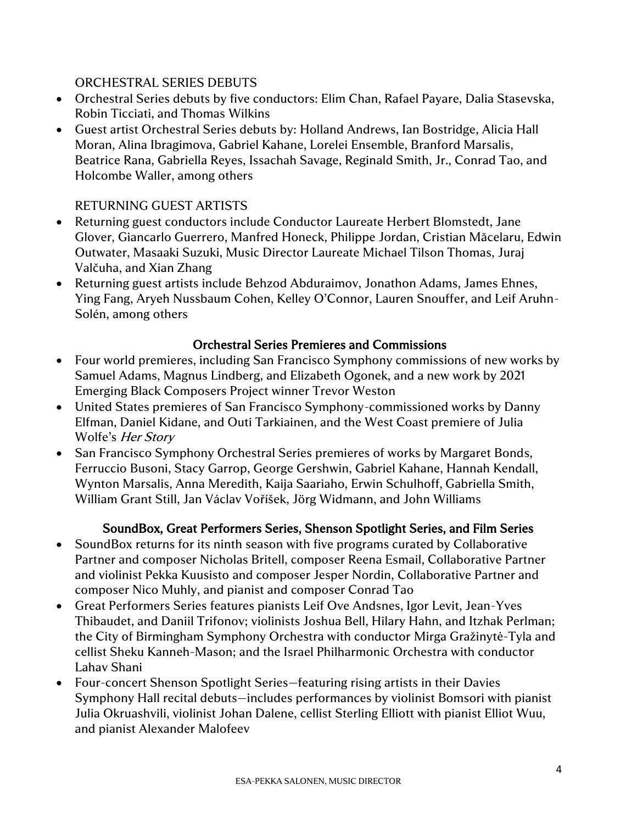#### ORCHESTRAL SERIES DEBUTS

- Orchestral Series debuts by five conductors: Elim Chan, Rafael Payare, Dalia Stasevska, Robin Ticciati, and Thomas Wilkins
- Guest artist Orchestral Series debuts by: Holland Andrews, Ian Bostridge, Alicia Hall Moran, Alina Ibragimova, Gabriel Kahane, Lorelei Ensemble, Branford Marsalis, Beatrice Rana, Gabriella Reyes, Issachah Savage, Reginald Smith, Jr., Conrad Tao, and Holcombe Waller, among others

### RETURNING GUEST ARTISTS

- Returning guest conductors include Conductor Laureate Herbert Blomstedt, Jane Glover, Giancarlo Guerrero, Manfred Honeck, Philippe Jordan, Cristian Măcelaru, Edwin Outwater, Masaaki Suzuki, Music Director Laureate Michael Tilson Thomas, Juraj Valčuha, and Xian Zhang
- Returning guest artists include Behzod Abduraimov, Jonathon Adams, James Ehnes, Ying Fang, Aryeh Nussbaum Cohen, Kelley O'Connor, Lauren Snouffer, and Leif Aruhn-Solén, among others

### Orchestral Series Premieres and Commissions

- Four world premieres, including San Francisco Symphony commissions of new works by Samuel Adams, Magnus Lindberg, and Elizabeth Ogonek, and a new work by 2021 Emerging Black Composers Project winner Trevor Weston
- United States premieres of San Francisco Symphony-commissioned works by Danny Elfman, Daniel Kidane, and Outi Tarkiainen, and the West Coast premiere of Julia Wolfe's *Her Story*
- San Francisco Symphony Orchestral Series premieres of works by Margaret Bonds, Ferruccio Busoni, Stacy Garrop, George Gershwin, Gabriel Kahane, Hannah Kendall, Wynton Marsalis, Anna Meredith, Kaija Saariaho, Erwin Schulhoff, Gabriella Smith, William Grant Still, Jan Václav Voříšek, Jörg Widmann, and John Williams

## SoundBox, Great Performers Series, Shenson Spotlight Series, and Film Series

- SoundBox returns for its ninth season with five programs curated by Collaborative Partner and composer Nicholas Britell, composer Reena Esmail, Collaborative Partner and violinist Pekka Kuusisto and composer Jesper Nordin, Collaborative Partner and composer Nico Muhly, and pianist and composer Conrad Tao
- Great Performers Series features pianists Leif Ove Andsnes, Igor Levit, Jean-Yves Thibaudet, and Daniil Trifonov; violinists Joshua Bell, Hilary Hahn, and Itzhak Perlman; the City of Birmingham Symphony Orchestra with conductor Mirga Gražinytė-Tyla and cellist Sheku Kanneh-Mason; and the Israel Philharmonic Orchestra with conductor Lahav Shani
- Four-concert Shenson Spotlight Series—featuring rising artists in their Davies Symphony Hall recital debuts—includes performances by violinist Bomsori with pianist Julia Okruashvili, violinist Johan Dalene, cellist Sterling Elliott with pianist Elliot Wuu, and pianist Alexander Malofeev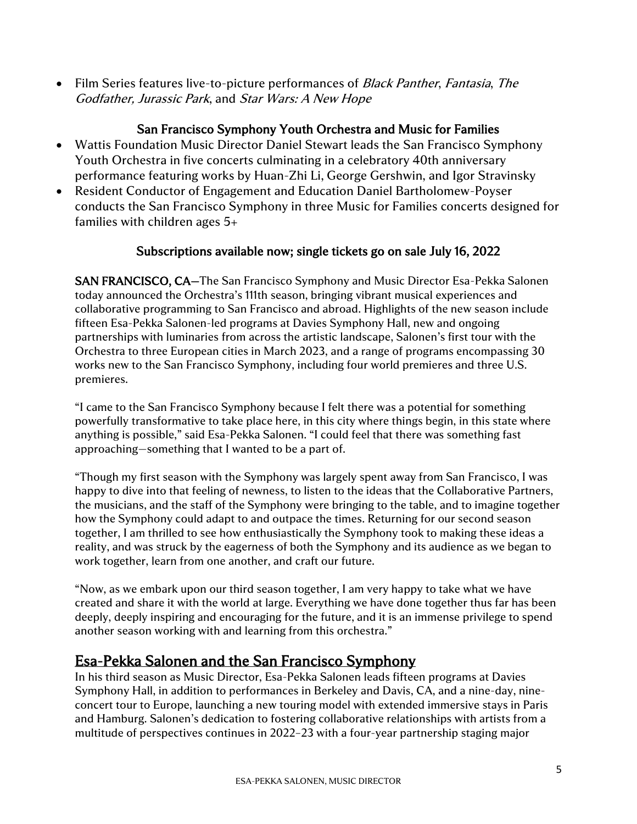• Film Series features live-to-picture performances of *Black Panther, Fantasia, The* Godfather, Jurassic Park, and Star Wars: A New Hope

#### San Francisco Symphony Youth Orchestra and Music for Families

- Wattis Foundation Music Director Daniel Stewart leads the San Francisco Symphony Youth Orchestra in five concerts culminating in a celebratory 40th anniversary performance featuring works by Huan-Zhi Li, George Gershwin, and Igor Stravinsky
- Resident Conductor of Engagement and Education Daniel Bartholomew-Poyser conducts the San Francisco Symphony in three Music for Families concerts designed for families with children ages 5+

#### Subscriptions available now; single tickets go on sale July 16, 2022

SAN FRANCISCO, CA—The San Francisco Symphony and Music Director Esa-Pekka Salonen today announced the Orchestra's 111th season, bringing vibrant musical experiences and collaborative programming to San Francisco and abroad. Highlights of the new season include fifteen Esa-Pekka Salonen-led programs at Davies Symphony Hall, new and ongoing partnerships with luminaries from across the artistic landscape, Salonen's first tour with the Orchestra to three European cities in March 2023, and a range of programs encompassing 30 works new to the San Francisco Symphony, including four world premieres and three U.S. premieres.

"I came to the San Francisco Symphony because I felt there was a potential for something powerfully transformative to take place here, in this city where things begin, in this state where anything is possible," said Esa-Pekka Salonen. "I could feel that there was something fast approaching—something that I wanted to be a part of.

"Though my first season with the Symphony was largely spent away from San Francisco, I was happy to dive into that feeling of newness, to listen to the ideas that the Collaborative Partners, the musicians, and the staff of the Symphony were bringing to the table, and to imagine together how the Symphony could adapt to and outpace the times. Returning for our second season together, I am thrilled to see how enthusiastically the Symphony took to making these ideas a reality, and was struck by the eagerness of both the Symphony and its audience as we began to work together, learn from one another, and craft our future.

"Now, as we embark upon our third season together, I am very happy to take what we have created and share it with the world at large. Everything we have done together thus far has been deeply, deeply inspiring and encouraging for the future, and it is an immense privilege to spend another season working with and learning from this orchestra."

# Esa-Pekka Salonen and the San Francisco Symphony

In his third season as Music Director, Esa-Pekka Salonen leads fifteen programs at Davies Symphony Hall, in addition to performances in Berkeley and Davis, CA, and a nine-day, nineconcert tour to Europe, launching a new touring model with extended immersive stays in Paris and Hamburg. Salonen's dedication to fostering collaborative relationships with artists from a multitude of perspectives continues in 2022–23 with a four-year partnership staging major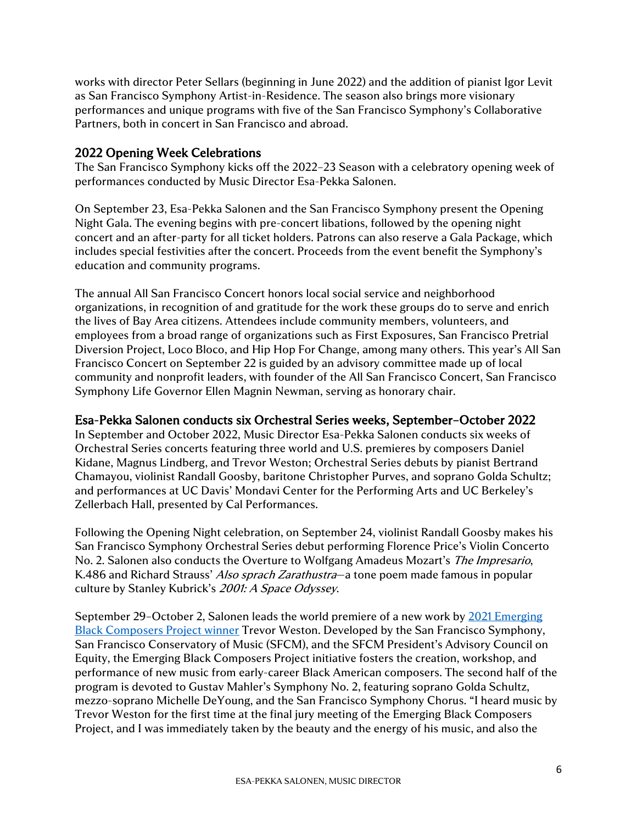works with director Peter Sellars (beginning in June 2022) and the addition of pianist Igor Levit as San Francisco Symphony Artist-in-Residence. The season also brings more visionary performances and unique programs with five of the San Francisco Symphony's Collaborative Partners, both in concert in San Francisco and abroad.

#### 2022 Opening Week Celebrations

The San Francisco Symphony kicks off the 2022–23 Season with a celebratory opening week of performances conducted by Music Director Esa-Pekka Salonen.

On September 23, Esa-Pekka Salonen and the San Francisco Symphony present the Opening Night Gala. The evening begins with pre-concert libations, followed by the opening night concert and an after-party for all ticket holders. Patrons can also reserve a Gala Package, which includes special festivities after the concert. Proceeds from the event benefit the Symphony's education and community programs.

The annual All San Francisco Concert honors local social service and neighborhood organizations, in recognition of and gratitude for the work these groups do to serve and enrich the lives of Bay Area citizens. Attendees include community members, volunteers, and employees from a broad range of organizations such as First Exposures, San Francisco Pretrial Diversion Project, Loco Bloco, and Hip Hop For Change, among many others. This year's All San Francisco Concert on September 22 is guided by an advisory committee made up of local community and nonprofit leaders, with founder of the All San Francisco Concert, San Francisco Symphony Life Governor Ellen Magnin Newman, serving as honorary chair.

#### Esa-Pekka Salonen conducts six Orchestral Series weeks, September–October 2022

In September and October 2022, Music Director Esa-Pekka Salonen conducts six weeks of Orchestral Series concerts featuring three world and U.S. premieres by composers Daniel Kidane, Magnus Lindberg, and Trevor Weston; Orchestral Series debuts by pianist Bertrand Chamayou, violinist Randall Goosby, baritone Christopher Purves, and soprano Golda Schultz; and performances at UC Davis' Mondavi Center for the Performing Arts and UC Berkeley's Zellerbach Hall, presented by Cal Performances.

Following the Opening Night celebration, on September 24, violinist Randall Goosby makes his San Francisco Symphony Orchestral Series debut performing Florence Price's Violin Concerto No. 2. Salonen also conducts the Overture to Wolfgang Amadeus Mozart's The Impresario, K.486 and Richard Strauss' Also sprach Zarathustra-a tone poem made famous in popular culture by Stanley Kubrick's 2001: A Space Odyssey.

September 29–October 2, Salonen leads the world premiere of a new work by [2021 Emerging](https://www.sfsymphony.org/About-SFS/Press-Room/Press-Releases/Emerging-Black-Composers-Project-2021)  [Black Composers Project winner](https://www.sfsymphony.org/About-SFS/Press-Room/Press-Releases/Emerging-Black-Composers-Project-2021) Trevor Weston. Developed by the San Francisco Symphony, San Francisco Conservatory of Music (SFCM), and the SFCM President's Advisory Council on Equity, the Emerging Black Composers Project initiative fosters the creation, workshop, and performance of new music from early-career Black American composers. The second half of the program is devoted to Gustav Mahler's Symphony No. 2, featuring soprano Golda Schultz, mezzo-soprano Michelle DeYoung, and the San Francisco Symphony Chorus. "I heard music by Trevor Weston for the first time at the final jury meeting of the Emerging Black Composers Project, and I was immediately taken by the beauty and the energy of his music, and also the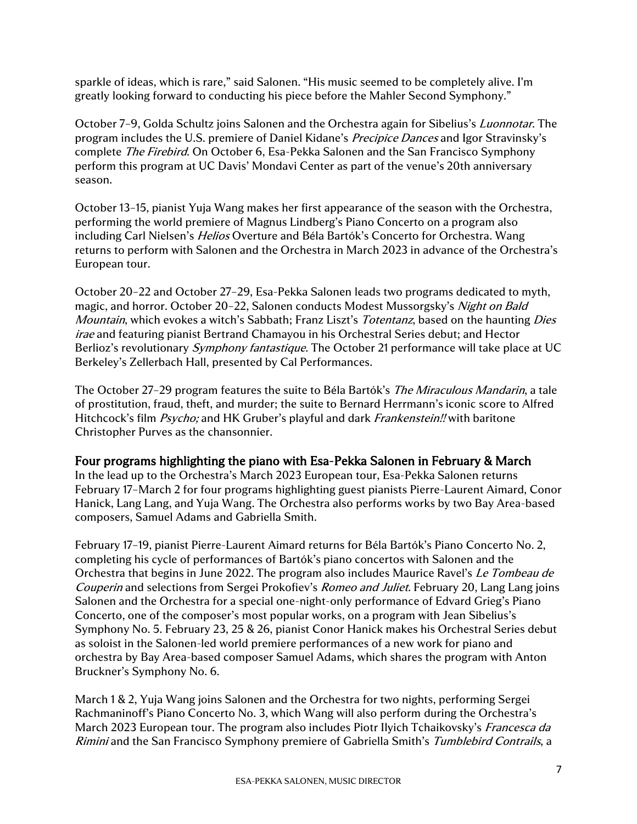sparkle of ideas, which is rare," said Salonen. "His music seemed to be completely alive. I'm greatly looking forward to conducting his piece before the Mahler Second Symphony."

October 7-9, Golda Schultz joins Salonen and the Orchestra again for Sibelius's *Luonnotar*. The program includes the U.S. premiere of Daniel Kidane's Precipice Dances and Igor Stravinsky's complete *The Firebird*. On October 6, Esa-Pekka Salonen and the San Francisco Symphony perform this program at UC Davis' Mondavi Center as part of the venue's 20th anniversary season.

October 13–15, pianist Yuja Wang makes her first appearance of the season with the Orchestra, performing the world premiere of Magnus Lindberg's Piano Concerto on a program also including Carl Nielsen's *Helios* Overture and Béla Bartók's Concerto for Orchestra. Wang returns to perform with Salonen and the Orchestra in March 2023 in advance of the Orchestra's European tour.

October 20–22 and October 27–29, Esa-Pekka Salonen leads two programs dedicated to myth, magic, and horror. October 20-22, Salonen conducts Modest Mussorgsky's Night on Bald Mountain, which evokes a witch's Sabbath; Franz Liszt's Totentanz, based on the haunting Dies irae and featuring pianist Bertrand Chamayou in his Orchestral Series debut; and Hector Berlioz's revolutionary *Symphony fantastique*. The October 21 performance will take place at UC Berkeley's Zellerbach Hall, presented by Cal Performances.

The October 27–29 program features the suite to Béla Bartók's *The Miraculous Mandarin*, a tale of prostitution, fraud, theft, and murder; the suite to Bernard Herrmann's iconic score to Alfred Hitchcock's film *Psycho*; and HK Gruber's playful and dark *Frankenstein!!* with baritone Christopher Purves as the chansonnier.

#### Four programs highlighting the piano with Esa-Pekka Salonen in February & March

In the lead up to the Orchestra's March 2023 European tour, Esa-Pekka Salonen returns February 17–March 2 for four programs highlighting guest pianists Pierre-Laurent Aimard, Conor Hanick, Lang Lang, and Yuja Wang. The Orchestra also performs works by two Bay Area-based composers, Samuel Adams and Gabriella Smith.

February 17–19, pianist Pierre-Laurent Aimard returns for Béla Bartók's Piano Concerto No. 2, completing his cycle of performances of Bartók's piano concertos with Salonen and the Orchestra that begins in June 2022. The program also includes Maurice Ravel's Le Tombeau de Couperin and selections from Sergei Prokofiev's *Romeo and Juliet*. February 20, Lang Lang joins Salonen and the Orchestra for a special one-night-only performance of Edvard Grieg's Piano Concerto, one of the composer's most popular works, on a program with Jean Sibelius's Symphony No. 5. February 23, 25 & 26, pianist Conor Hanick makes his Orchestral Series debut as soloist in the Salonen-led world premiere performances of a new work for piano and orchestra by Bay Area-based composer Samuel Adams, which shares the program with Anton Bruckner's Symphony No. 6.

March 1 & 2, Yuja Wang joins Salonen and the Orchestra for two nights, performing Sergei Rachmaninoff's Piano Concerto No. 3, which Wang will also perform during the Orchestra's March 2023 European tour. The program also includes Piotr Ilyich Tchaikovsky's *Francesca da* Rimini and the San Francisco Symphony premiere of Gabriella Smith's Tumblebird Contrails, a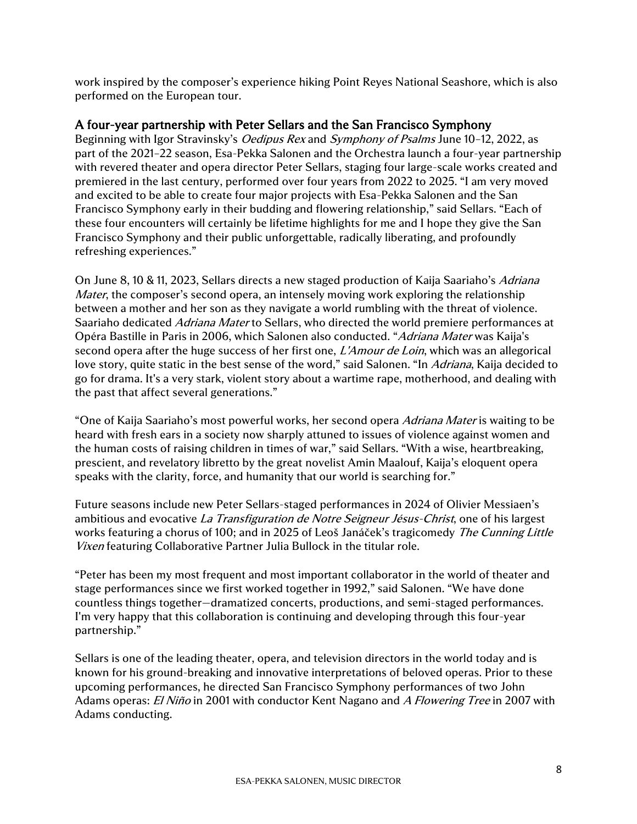work inspired by the composer's experience hiking Point Reyes National Seashore, which is also performed on the European tour.

#### A four-year partnership with Peter Sellars and the San Francisco Symphony

Beginning with Igor Stravinsky's *Oedipus Rex* and *Symphony of Psalms* June 10–12, 2022, as part of the 2021–22 season, Esa-Pekka Salonen and the Orchestra launch a four-year partnership with revered theater and opera director Peter Sellars, staging four large-scale works created and premiered in the last century, performed over four years from 2022 to 2025. "I am very moved and excited to be able to create four major projects with Esa-Pekka Salonen and the San Francisco Symphony early in their budding and flowering relationship," said Sellars. "Each of these four encounters will certainly be lifetime highlights for me and I hope they give the San Francisco Symphony and their public unforgettable, radically liberating, and profoundly refreshing experiences."

On June 8, 10 & 11, 2023, Sellars directs a new staged production of Kaija Saariaho's Adriana *Mater*, the composer's second opera, an intensely moving work exploring the relationship between a mother and her son as they navigate a world rumbling with the threat of violence. Saariaho dedicated *Adriana Mater* to Sellars, who directed the world premiere performances at Opéra Bastille in Paris in 2006, which Salonen also conducted. "Adriana Mater was Kaija's second opera after the huge success of her first one, *L'Amour de Loin*, which was an allegorical love story, quite static in the best sense of the word," said Salonen. "In *Adriana*, Kaija decided to go for drama. It's a very stark, violent story about a wartime rape, motherhood, and dealing with the past that affect several generations."

"One of Kaija Saariaho's most powerful works, her second opera Adriana Mater is waiting to be heard with fresh ears in a society now sharply attuned to issues of violence against women and the human costs of raising children in times of war," said Sellars. "With a wise, heartbreaking, prescient, and revelatory libretto by the great novelist Amin Maalouf, Kaija's eloquent opera speaks with the clarity, force, and humanity that our world is searching for."

Future seasons include new Peter Sellars-staged performances in 2024 of Olivier Messiaen's ambitious and evocative La Transfiguration de Notre Seigneur Jésus-Christ, one of his largest works featuring a chorus of 100; and in 2025 of Leoš Janáček's tragicomedy The Cunning Little Vixen featuring Collaborative Partner Julia Bullock in the titular role.

"Peter has been my most frequent and most important collaborator in the world of theater and stage performances since we first worked together in 1992," said Salonen. "We have done countless things together—dramatized concerts, productions, and semi-staged performances. I'm very happy that this collaboration is continuing and developing through this four-year partnership."

Sellars is one of the leading theater, opera, and television directors in the world today and is known for his ground-breaking and innovative interpretations of beloved operas. Prior to these upcoming performances, he directed San Francisco Symphony performances of two John Adams operas: El Niño in 2001 with conductor Kent Nagano and A Flowering Tree in 2007 with Adams conducting.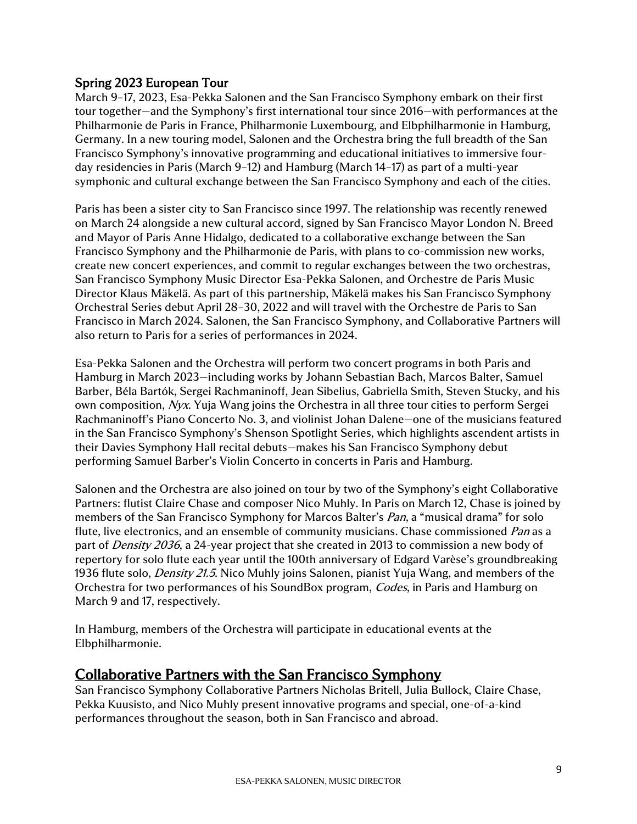#### Spring 2023 European Tour

March 9–17, 2023, Esa-Pekka Salonen and the San Francisco Symphony embark on their first tour together—and the Symphony's first international tour since 2016—with performances at the Philharmonie de Paris in France, Philharmonie Luxembourg, and Elbphilharmonie in Hamburg, Germany. In a new touring model, Salonen and the Orchestra bring the full breadth of the San Francisco Symphony's innovative programming and educational initiatives to immersive fourday residencies in Paris (March 9–12) and Hamburg (March 14–17) as part of a multi-year symphonic and cultural exchange between the San Francisco Symphony and each of the cities.

Paris has been a sister city to San Francisco since 1997. The relationship was recently renewed on March 24 alongside a new cultural accord, signed by San Francisco Mayor London N. Breed and Mayor of Paris Anne Hidalgo, dedicated to a collaborative exchange between the San Francisco Symphony and the Philharmonie de Paris, with plans to co-commission new works, create new concert experiences, and commit to regular exchanges between the two orchestras, San Francisco Symphony Music Director Esa-Pekka Salonen, and Orchestre de Paris Music Director Klaus Mäkelä. As part of this partnership, Mäkelä makes his San Francisco Symphony Orchestral Series debut April 28–30, 2022 and will travel with the Orchestre de Paris to San Francisco in March 2024. Salonen, the San Francisco Symphony, and Collaborative Partners will also return to Paris for a series of performances in 2024.

Esa-Pekka Salonen and the Orchestra will perform two concert programs in both Paris and Hamburg in March 2023—including works by Johann Sebastian Bach, Marcos Balter, Samuel Barber, Béla Bartók, Sergei Rachmaninoff, Jean Sibelius, Gabriella Smith, Steven Stucky, and his own composition, Nyx. Yuja Wang joins the Orchestra in all three tour cities to perform Sergei Rachmaninoff's Piano Concerto No. 3, and violinist Johan Dalene—one of the musicians featured in the San Francisco Symphony's Shenson Spotlight Series, which highlights ascendent artists in their Davies Symphony Hall recital debuts—makes his San Francisco Symphony debut performing Samuel Barber's Violin Concerto in concerts in Paris and Hamburg.

Salonen and the Orchestra are also joined on tour by two of the Symphony's eight Collaborative Partners: flutist Claire Chase and composer Nico Muhly. In Paris on March 12, Chase is joined by members of the San Francisco Symphony for Marcos Balter's *Pan*, a "musical drama" for solo flute, live electronics, and an ensemble of community musicians. Chase commissioned Pan as a part of *Density 2036*, a 24-year project that she created in 2013 to commission a new body of repertory for solo flute each year until the 100th anniversary of Edgard Varèse's groundbreaking 1936 flute solo, *Density 21.5*. Nico Muhly joins Salonen, pianist Yuja Wang, and members of the Orchestra for two performances of his SoundBox program, Codes, in Paris and Hamburg on March 9 and 17, respectively.

In Hamburg, members of the Orchestra will participate in educational events at the Elbphilharmonie.

## Collaborative Partners with the San Francisco Symphony

San Francisco Symphony Collaborative Partners Nicholas Britell, Julia Bullock, Claire Chase, Pekka Kuusisto, and Nico Muhly present innovative programs and special, one-of-a-kind performances throughout the season, both in San Francisco and abroad.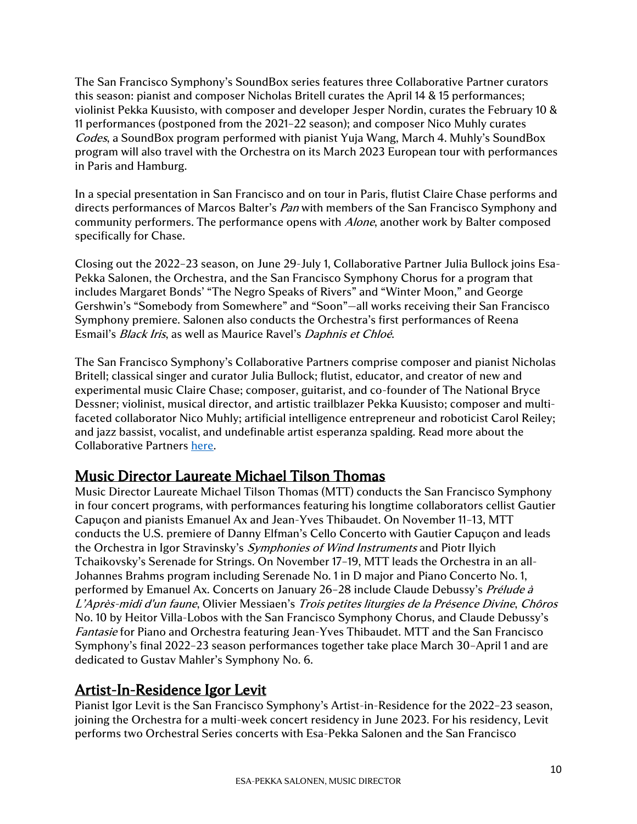The San Francisco Symphony's SoundBox series features three Collaborative Partner curators this season: pianist and composer Nicholas Britell curates the April 14 & 15 performances; violinist Pekka Kuusisto, with composer and developer Jesper Nordin, curates the February 10 & 11 performances (postponed from the 2021–22 season); and composer Nico Muhly curates Codes, a SoundBox program performed with pianist Yuja Wang, March 4. Muhly's SoundBox program will also travel with the Orchestra on its March 2023 European tour with performances in Paris and Hamburg.

In a special presentation in San Francisco and on tour in Paris, flutist Claire Chase performs and directs performances of Marcos Balter's *Pan* with members of the San Francisco Symphony and community performers. The performance opens with *Alone*, another work by Balter composed specifically for Chase.

Closing out the 2022–23 season, on June 29-July 1, Collaborative Partner Julia Bullock joins Esa-Pekka Salonen, the Orchestra, and the San Francisco Symphony Chorus for a program that includes Margaret Bonds' "The Negro Speaks of Rivers" and "Winter Moon," and George Gershwin's "Somebody from Somewhere" and "Soon"—all works receiving their San Francisco Symphony premiere. Salonen also conducts the Orchestra's first performances of Reena Esmail's Black Iris, as well as Maurice Ravel's Daphnis et Chloé.

The San Francisco Symphony's Collaborative Partners comprise composer and pianist Nicholas Britell; classical singer and curator Julia Bullock; flutist, educator, and creator of new and experimental music Claire Chase; composer, guitarist, and co-founder of The National Bryce Dessner; violinist, musical director, and artistic trailblazer Pekka Kuusisto; composer and multifaceted collaborator Nico Muhly; artificial intelligence entrepreneur and roboticist Carol Reiley; and jazz bassist, vocalist, and undefinable artist esperanza spalding. Read more about the Collaborative Partners [here.](https://www.sfsymphony.org/About-SFS/Collaborative-Partners)

# Music Director Laureate Michael Tilson Thomas

Music Director Laureate Michael Tilson Thomas (MTT) conducts the San Francisco Symphony in four concert programs, with performances featuring his longtime collaborators cellist Gautier Capuçon and pianists Emanuel Ax and Jean-Yves Thibaudet. On November 11–13, MTT conducts the U.S. premiere of Danny Elfman's Cello Concerto with Gautier Capuçon and leads the Orchestra in Igor Stravinsky's *Symphonies of Wind Instruments* and Piotr Ilyich Tchaikovsky's Serenade for Strings. On November 17–19, MTT leads the Orchestra in an all-Johannes Brahms program including Serenade No. 1 in D major and Piano Concerto No. 1, performed by Emanuel Ax. Concerts on January 26–28 include Claude Debussy's Prélude à L'Après-midi d'un faune, Olivier Messiaen's Trois petites liturgies de la Présence Divine, Chôros No. 10 by Heitor Villa-Lobos with the San Francisco Symphony Chorus, and Claude Debussy's Fantasie for Piano and Orchestra featuring Jean-Yves Thibaudet. MTT and the San Francisco Symphony's final 2022–23 season performances together take place March 30–April 1 and are dedicated to Gustav Mahler's Symphony No. 6.

#### Artist-In-Residence Igor Levit

Pianist Igor Levit is the San Francisco Symphony's Artist-in-Residence for the 2022–23 season, joining the Orchestra for a multi-week concert residency in June 2023. For his residency, Levit performs two Orchestral Series concerts with Esa-Pekka Salonen and the San Francisco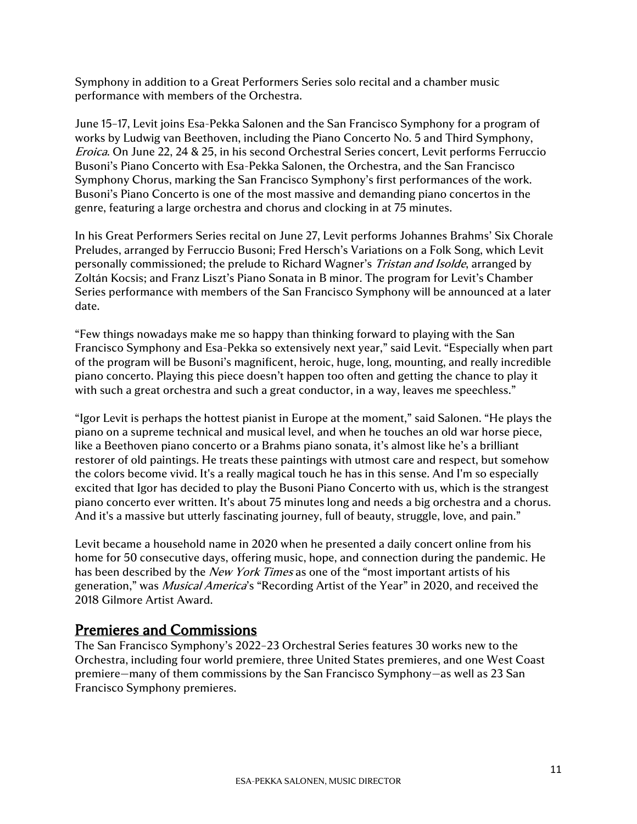Symphony in addition to a Great Performers Series solo recital and a chamber music performance with members of the Orchestra.

June 15–17, Levit joins Esa-Pekka Salonen and the San Francisco Symphony for a program of works by Ludwig van Beethoven, including the Piano Concerto No. 5 and Third Symphony, Eroica. On June 22, 24 & 25, in his second Orchestral Series concert, Levit performs Ferruccio Busoni's Piano Concerto with Esa-Pekka Salonen, the Orchestra, and the San Francisco Symphony Chorus, marking the San Francisco Symphony's first performances of the work. Busoni's Piano Concerto is one of the most massive and demanding piano concertos in the genre, featuring a large orchestra and chorus and clocking in at 75 minutes.

In his Great Performers Series recital on June 27, Levit performs Johannes Brahms' Six Chorale Preludes, arranged by Ferruccio Busoni; Fred Hersch's Variations on a Folk Song, which Levit personally commissioned; the prelude to Richard Wagner's Tristan and Isolde, arranged by Zoltán Kocsis; and Franz Liszt's Piano Sonata in B minor. The program for Levit's Chamber Series performance with members of the San Francisco Symphony will be announced at a later date.

"Few things nowadays make me so happy than thinking forward to playing with the San Francisco Symphony and Esa-Pekka so extensively next year," said Levit. "Especially when part of the program will be Busoni's magnificent, heroic, huge, long, mounting, and really incredible piano concerto. Playing this piece doesn't happen too often and getting the chance to play it with such a great orchestra and such a great conductor, in a way, leaves me speechless."

"Igor Levit is perhaps the hottest pianist in Europe at the moment," said Salonen. "He plays the piano on a supreme technical and musical level, and when he touches an old war horse piece, like a Beethoven piano concerto or a Brahms piano sonata, it's almost like he's a brilliant restorer of old paintings. He treats these paintings with utmost care and respect, but somehow the colors become vivid. It's a really magical touch he has in this sense. And I'm so especially excited that Igor has decided to play the Busoni Piano Concerto with us, which is the strangest piano concerto ever written. It's about 75 minutes long and needs a big orchestra and a chorus. And it's a massive but utterly fascinating journey, full of beauty, struggle, love, and pain."

Levit became a household name in 2020 when he presented a daily concert online from his home for 50 consecutive days, offering music, hope, and connection during the pandemic. He has been described by the New York Times as one of the "most important artists of his generation," was *Musical America*'s "Recording Artist of the Year" in 2020, and received the 2018 Gilmore Artist Award.

## Premieres and Commissions

The San Francisco Symphony's 2022–23 Orchestral Series features 30 works new to the Orchestra, including four world premiere, three United States premieres, and one West Coast premiere—many of them commissions by the San Francisco Symphony—as well as 23 San Francisco Symphony premieres.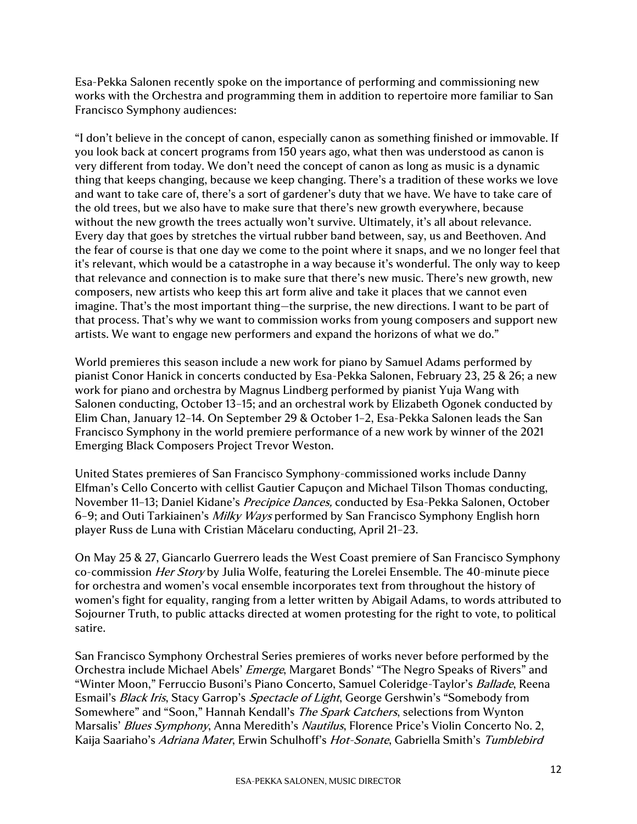Esa-Pekka Salonen recently spoke on the importance of performing and commissioning new works with the Orchestra and programming them in addition to repertoire more familiar to San Francisco Symphony audiences:

"I don't believe in the concept of canon, especially canon as something finished or immovable. If you look back at concert programs from 150 years ago, what then was understood as canon is very different from today. We don't need the concept of canon as long as music is a dynamic thing that keeps changing, because we keep changing. There's a tradition of these works we love and want to take care of, there's a sort of gardener's duty that we have. We have to take care of the old trees, but we also have to make sure that there's new growth everywhere, because without the new growth the trees actually won't survive. Ultimately, it's all about relevance. Every day that goes by stretches the virtual rubber band between, say, us and Beethoven. And the fear of course is that one day we come to the point where it snaps, and we no longer feel that it's relevant, which would be a catastrophe in a way because it's wonderful. The only way to keep that relevance and connection is to make sure that there's new music. There's new growth, new composers, new artists who keep this art form alive and take it places that we cannot even imagine. That's the most important thing—the surprise, the new directions. I want to be part of that process. That's why we want to commission works from young composers and support new artists. We want to engage new performers and expand the horizons of what we do."

World premieres this season include a new work for piano by Samuel Adams performed by pianist Conor Hanick in concerts conducted by Esa-Pekka Salonen, February 23, 25 & 26; a new work for piano and orchestra by Magnus Lindberg performed by pianist Yuja Wang with Salonen conducting, October 13–15; and an orchestral work by Elizabeth Ogonek conducted by Elim Chan, January 12–14. On September 29 & October 1–2, Esa-Pekka Salonen leads the San Francisco Symphony in the world premiere performance of a new work by winner of the 2021 Emerging Black Composers Project Trevor Weston.

United States premieres of San Francisco Symphony-commissioned works include Danny Elfman's Cello Concerto with cellist Gautier Capuçon and Michael Tilson Thomas conducting, November 11-13; Daniel Kidane's *Precipice Dances*, conducted by Esa-Pekka Salonen, October 6–9; and Outi Tarkiainen's Milky Ways performed by San Francisco Symphony English horn player Russ de Luna with Cristian Măcelaru conducting, April 21–23.

On May 25 & 27, Giancarlo Guerrero leads the West Coast premiere of San Francisco Symphony co-commission *Her Story* by Julia Wolfe, featuring the Lorelei Ensemble. The 40-minute piece for orchestra and women's vocal ensemble incorporates text from throughout the history of women's fight for equality, ranging from a letter written by Abigail Adams, to words attributed to Sojourner Truth, to public attacks directed at women protesting for the right to vote, to political satire.

San Francisco Symphony Orchestral Series premieres of works never before performed by the Orchestra include Michael Abels' Emerge, Margaret Bonds' "The Negro Speaks of Rivers" and "Winter Moon," Ferruccio Busoni's Piano Concerto, Samuel Coleridge-Taylor's *Ballade*, Reena Esmail's Black Iris, Stacy Garrop's Spectacle of Light, George Gershwin's "Somebody from Somewhere" and "Soon," Hannah Kendall's *The Spark Catchers*, selections from Wynton Marsalis' Blues Symphony, Anna Meredith's Nautilus, Florence Price's Violin Concerto No. 2, Kaija Saariaho's Adriana Mater, Erwin Schulhoff's Hot-Sonate, Gabriella Smith's Tumblebird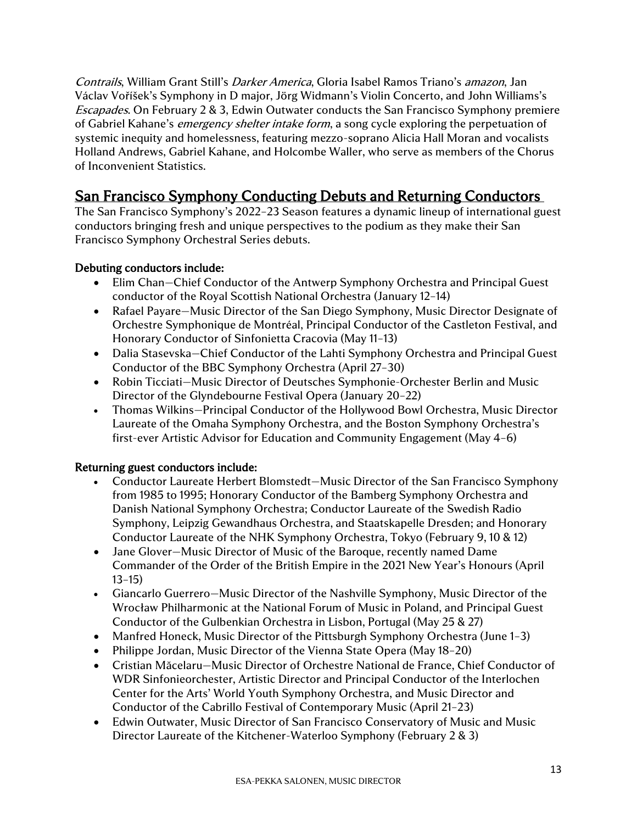Contrails, William Grant Still's Darker America, Gloria Isabel Ramos Triano's amazon, Jan Václav Voříšek's Symphony in D major, Jörg Widmann's Violin Concerto, and John Williams's Escapades. On February 2 & 3, Edwin Outwater conducts the San Francisco Symphony premiere of Gabriel Kahane's *emergency shelter intake form*, a song cycle exploring the perpetuation of systemic inequity and homelessness, featuring mezzo-soprano Alicia Hall Moran and vocalists Holland Andrews, Gabriel Kahane, and Holcombe Waller, who serve as members of the Chorus of Inconvenient Statistics.

# San Francisco Symphony Conducting Debuts and Returning Conductors

The San Francisco Symphony's 2022–23 Season features a dynamic lineup of international guest conductors bringing fresh and unique perspectives to the podium as they make their San Francisco Symphony Orchestral Series debuts.

#### Debuting conductors include:

- Elim Chan–Chief Conductor of the Antwerp Symphony Orchestra and Principal Guest conductor of the Royal Scottish National Orchestra (January 12–14)
- Rafael Payare—Music Director of the San Diego Symphony, Music Director Designate of Orchestre Symphonique de Montréal, Principal Conductor of the Castleton Festival, and Honorary Conductor of Sinfonietta Cracovia (May 11–13)
- Dalia Stasevska–Chief Conductor of the Lahti Symphony Orchestra and Principal Guest Conductor of the BBC Symphony Orchestra (April 27–30)
- Robin Ticciati—Music Director of Deutsches Symphonie-Orchester Berlin and Music Director of the Glyndebourne Festival Opera (January 20–22)
- Thomas Wilkins—Principal Conductor of the Hollywood Bowl Orchestra, Music Director Laureate of the Omaha Symphony Orchestra, and the Boston Symphony Orchestra's first-ever Artistic Advisor for Education and Community Engagement (May 4–6)

#### Returning guest conductors include:

- Conductor Laureate Herbert Blomstedt—Music Director of the San Francisco Symphony from 1985 to 1995; Honorary Conductor of the Bamberg Symphony Orchestra and Danish National Symphony Orchestra; Conductor Laureate of the Swedish Radio Symphony, Leipzig Gewandhaus Orchestra, and Staatskapelle Dresden; and Honorary Conductor Laureate of the NHK Symphony Orchestra, Tokyo (February 9, 10 & 12)
- Jane Glover—Music Director of Music of the Baroque, recently named Dame Commander of the Order of the British Empire in the 2021 New Year's Honours (April 13–15)
- Giancarlo Guerrero—Music Director of the Nashville Symphony, Music Director of the Wrocław Philharmonic at the National Forum of Music in Poland, and Principal Guest Conductor of the Gulbenkian Orchestra in Lisbon, Portugal (May 25 & 27)
- Manfred Honeck, Music Director of the Pittsburgh Symphony Orchestra (June 1-3)
- Philippe Jordan, Music Director of the Vienna State Opera (May 18–20)
- Cristian Măcelaru—Music Director of Orchestre National de France, Chief Conductor of WDR Sinfonieorchester, Artistic Director and Principal Conductor of the Interlochen Center for the Arts' World Youth Symphony Orchestra, and Music Director and Conductor of the Cabrillo Festival of Contemporary Music (April 21–23)
- Edwin Outwater, Music Director of San Francisco Conservatory of Music and Music Director Laureate of the Kitchener-Waterloo Symphony (February 2 & 3)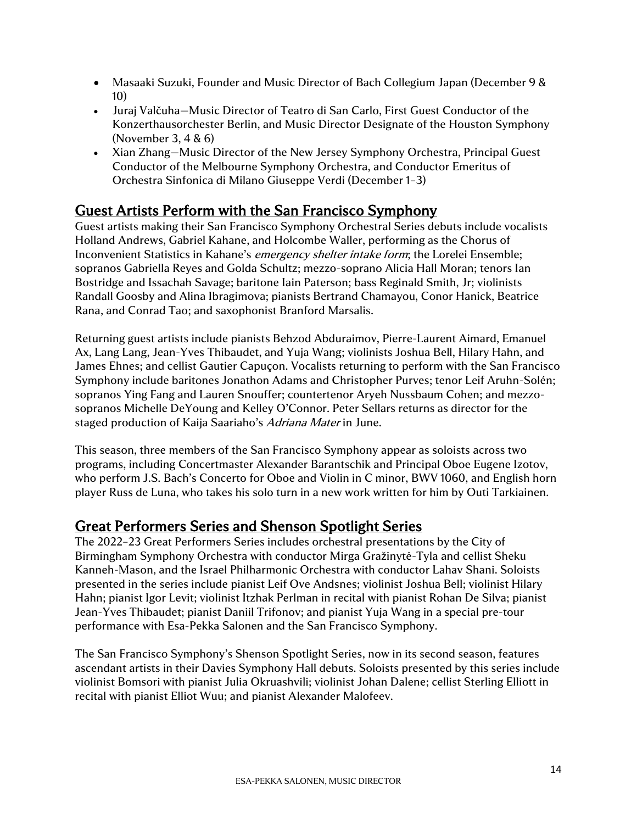- Masaaki Suzuki, Founder and Music Director of Bach Collegium Japan (December 9 & 10)
- Juraj Valčuha—Music Director of Teatro di San Carlo, First Guest Conductor of the Konzerthausorchester Berlin, and Music Director Designate of the Houston Symphony (November 3, 4 & 6)
- Xian Zhang—Music Director of the New Jersey Symphony Orchestra, Principal Guest Conductor of the Melbourne Symphony Orchestra, and Conductor Emeritus of Orchestra Sinfonica di Milano Giuseppe Verdi (December 1–3)

# Guest Artists Perform with the San Francisco Symphony

Guest artists making their San Francisco Symphony Orchestral Series debuts include vocalists Holland Andrews, Gabriel Kahane, and Holcombe Waller, performing as the Chorus of Inconvenient Statistics in Kahane's emergency shelter intake form; the Lorelei Ensemble; sopranos Gabriella Reyes and Golda Schultz; mezzo-soprano Alicia Hall Moran; tenors Ian Bostridge and Issachah Savage; baritone Iain Paterson; bass Reginald Smith, Jr; violinists Randall Goosby and Alina Ibragimova; pianists Bertrand Chamayou, Conor Hanick, Beatrice Rana, and Conrad Tao; and saxophonist Branford Marsalis.

Returning guest artists include pianists Behzod Abduraimov, Pierre-Laurent Aimard, Emanuel Ax, Lang Lang, Jean-Yves Thibaudet, and Yuja Wang; violinists Joshua Bell, Hilary Hahn, and James Ehnes; and cellist Gautier Capuçon. Vocalists returning to perform with the San Francisco Symphony include baritones Jonathon Adams and Christopher Purves; tenor Leif Aruhn-Solén; sopranos Ying Fang and Lauren Snouffer; countertenor Aryeh Nussbaum Cohen; and mezzosopranos Michelle DeYoung and Kelley O'Connor. Peter Sellars returns as director for the staged production of Kaija Saariaho's Adriana Mater in June.

This season, three members of the San Francisco Symphony appear as soloists across two programs, including Concertmaster Alexander Barantschik and Principal Oboe Eugene Izotov, who perform J.S. Bach's Concerto for Oboe and Violin in C minor, BWV 1060, and English horn player Russ de Luna, who takes his solo turn in a new work written for him by Outi Tarkiainen.

# Great Performers Series and Shenson Spotlight Series

The 2022–23 Great Performers Series includes orchestral presentations by the City of Birmingham Symphony Orchestra with conductor Mirga Gražinytė-Tyla and cellist Sheku Kanneh-Mason, and the Israel Philharmonic Orchestra with conductor Lahav Shani. Soloists presented in the series include pianist Leif Ove Andsnes; violinist Joshua Bell; violinist Hilary Hahn; pianist Igor Levit; violinist Itzhak Perlman in recital with pianist Rohan De Silva; pianist Jean-Yves Thibaudet; pianist Daniil Trifonov; and pianist Yuja Wang in a special pre-tour performance with Esa-Pekka Salonen and the San Francisco Symphony.

The San Francisco Symphony's Shenson Spotlight Series, now in its second season, features ascendant artists in their Davies Symphony Hall debuts. Soloists presented by this series include violinist Bomsori with pianist Julia Okruashvili; violinist Johan Dalene; cellist Sterling Elliott in recital with pianist Elliot Wuu; and pianist Alexander Malofeev.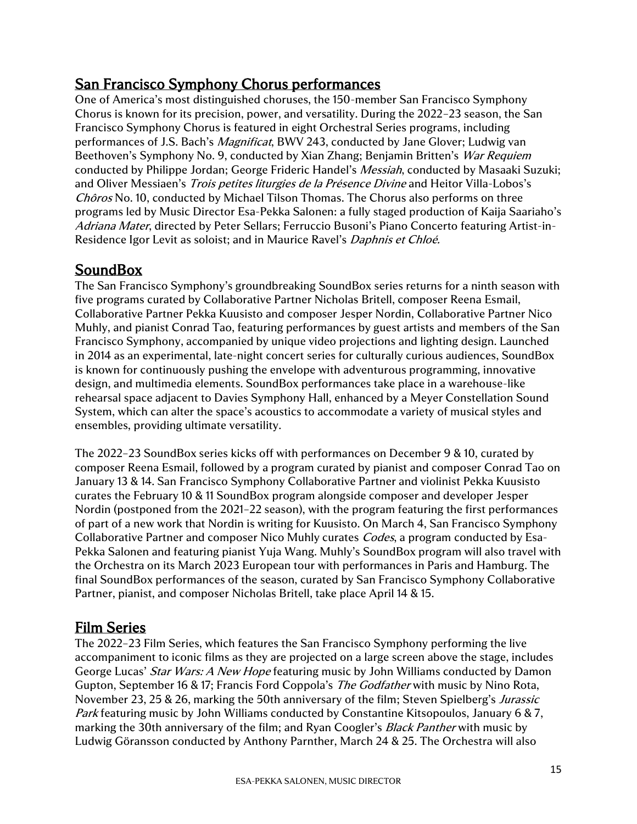# San Francisco Symphony Chorus performances

One of America's most distinguished choruses, the 150-member San Francisco Symphony Chorus is known for its precision, power, and versatility. During the 2022–23 season, the San Francisco Symphony Chorus is featured in eight Orchestral Series programs, including performances of J.S. Bach's *Magnificat*, BWV 243, conducted by Jane Glover; Ludwig van Beethoven's Symphony No. 9, conducted by Xian Zhang; Benjamin Britten's War Requiem conducted by Philippe Jordan; George Frideric Handel's *Messiah*, conducted by Masaaki Suzuki; and Oliver Messiaen's *Trois petites liturgies de la Présence Divine* and Heitor Villa-Lobos's Chôros No. 10, conducted by Michael Tilson Thomas. The Chorus also performs on three programs led by Music Director Esa-Pekka Salonen: a fully staged production of Kaija Saariaho's Adriana Mater, directed by Peter Sellars; Ferruccio Busoni's Piano Concerto featuring Artist-in-Residence Igor Levit as soloist; and in Maurice Ravel's Daphnis et Chloé.

# **SoundBox**

The San Francisco Symphony's groundbreaking SoundBox series returns for a ninth season with five programs curated by Collaborative Partner Nicholas Britell, composer Reena Esmail, Collaborative Partner Pekka Kuusisto and composer Jesper Nordin, Collaborative Partner Nico Muhly, and pianist Conrad Tao, featuring performances by guest artists and members of the San Francisco Symphony, accompanied by unique video projections and lighting design. Launched in 2014 as an experimental, late-night concert series for culturally curious audiences, SoundBox is known for continuously pushing the envelope with adventurous programming, innovative design, and multimedia elements. SoundBox performances take place in a warehouse-like rehearsal space adjacent to Davies Symphony Hall, enhanced by a Meyer Constellation Sound System, which can alter the space's acoustics to accommodate a variety of musical styles and ensembles, providing ultimate versatility.

The 2022–23 SoundBox series kicks off with performances on December 9 & 10, curated by composer Reena Esmail, followed by a program curated by pianist and composer Conrad Tao on January 13 & 14. San Francisco Symphony Collaborative Partner and violinist Pekka Kuusisto curates the February 10 & 11 SoundBox program alongside composer and developer Jesper Nordin (postponed from the 2021–22 season), with the program featuring the first performances of part of a new work that Nordin is writing for Kuusisto. On March 4, San Francisco Symphony Collaborative Partner and composer Nico Muhly curates *Codes*, a program conducted by Esa-Pekka Salonen and featuring pianist Yuja Wang. Muhly's SoundBox program will also travel with the Orchestra on its March 2023 European tour with performances in Paris and Hamburg. The final SoundBox performances of the season, curated by San Francisco Symphony Collaborative Partner, pianist, and composer Nicholas Britell, take place April 14 & 15.

## Film Series

The 2022–23 Film Series, which features the San Francisco Symphony performing the live accompaniment to iconic films as they are projected on a large screen above the stage, includes George Lucas' *Star Wars: A New Hope* featuring music by John Williams conducted by Damon Gupton, September 16 & 17; Francis Ford Coppola's *The Godfather* with music by Nino Rota, November 23, 25 & 26, marking the 50th anniversary of the film; Steven Spielberg's *Jurassic* Park featuring music by John Williams conducted by Constantine Kitsopoulos, January 6 & 7, marking the 30th anniversary of the film; and Ryan Coogler's *Black Panther* with music by Ludwig Göransson conducted by Anthony Parnther, March 24 & 25. The Orchestra will also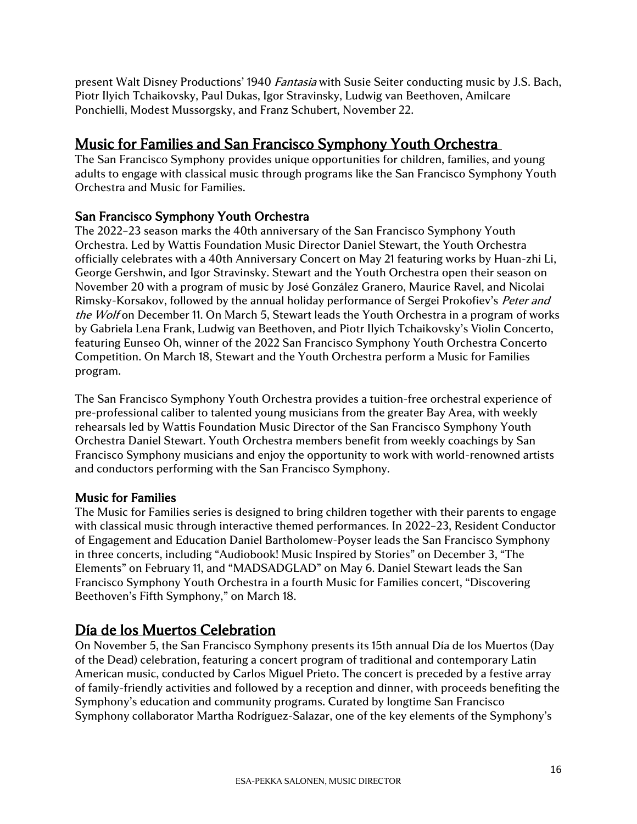present Walt Disney Productions' 1940 *Fantasia* with Susie Seiter conducting music by J.S. Bach, Piotr Ilyich Tchaikovsky, Paul Dukas, Igor Stravinsky, Ludwig van Beethoven, Amilcare Ponchielli, Modest Mussorgsky, and Franz Schubert, November 22.

# Music for Families and San Francisco Symphony Youth Orchestra

The San Francisco Symphony provides unique opportunities for children, families, and young adults to engage with classical music through programs like the San Francisco Symphony Youth Orchestra and Music for Families.

### San Francisco Symphony Youth Orchestra

The 2022–23 season marks the 40th anniversary of the San Francisco Symphony Youth Orchestra. Led by Wattis Foundation Music Director Daniel Stewart, the Youth Orchestra officially celebrates with a 40th Anniversary Concert on May 21 featuring works by Huan-zhi Li, George Gershwin, and Igor Stravinsky. Stewart and the Youth Orchestra open their season on November 20 with a program of music by José González Granero, Maurice Ravel, and Nicolai Rimsky-Korsakov, followed by the annual holiday performance of Sergei Prokofiev's Peter and the Wolf on December 11. On March 5, Stewart leads the Youth Orchestra in a program of works by Gabriela Lena Frank, Ludwig van Beethoven, and Piotr Ilyich Tchaikovsky's Violin Concerto, featuring Eunseo Oh, winner of the 2022 San Francisco Symphony Youth Orchestra Concerto Competition. On March 18, Stewart and the Youth Orchestra perform a Music for Families program.

The San Francisco Symphony Youth Orchestra provides a tuition-free orchestral experience of pre-professional caliber to talented young musicians from the greater Bay Area, with weekly rehearsals led by Wattis Foundation Music Director of the San Francisco Symphony Youth Orchestra Daniel Stewart. Youth Orchestra members benefit from weekly coachings by San Francisco Symphony musicians and enjoy the opportunity to work with world-renowned artists and conductors performing with the San Francisco Symphony.

#### Music for Families

The Music for Families series is designed to bring children together with their parents to engage with classical music through interactive themed performances. In 2022–23, Resident Conductor of Engagement and Education Daniel Bartholomew-Poyser leads the San Francisco Symphony in three concerts, including "Audiobook! Music Inspired by Stories" on December 3, "The Elements" on February 11, and "MADSADGLAD" on May 6. Daniel Stewart leads the San Francisco Symphony Youth Orchestra in a fourth Music for Families concert, "Discovering Beethoven's Fifth Symphony," on March 18.

# Día de los Muertos Celebration

On November 5, the San Francisco Symphony presents its 15th annual Día de los Muertos (Day of the Dead) celebration, featuring a concert program of traditional and contemporary Latin American music, conducted by Carlos Miguel Prieto. The concert is preceded by a festive array of family-friendly activities and followed by a reception and dinner, with proceeds benefiting the Symphony's education and community programs. Curated by longtime San Francisco Symphony collaborator Martha Rodríguez-Salazar, one of the key elements of the Symphony's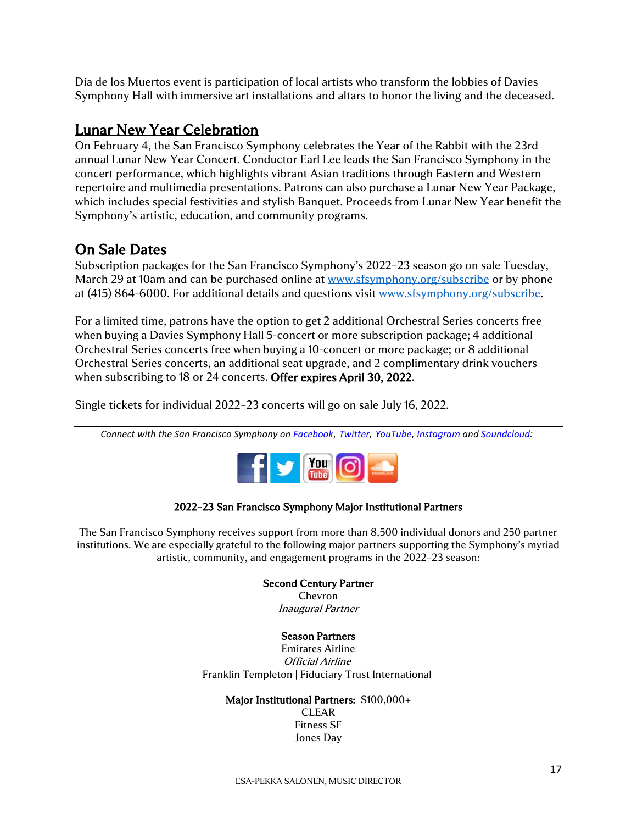Día de los Muertos event is participation of local artists who transform the lobbies of Davies Symphony Hall with immersive art installations and altars to honor the living and the deceased.

## Lunar New Year Celebration

On February 4, the San Francisco Symphony celebrates the Year of the Rabbit with the 23rd annual Lunar New Year Concert. Conductor Earl Lee leads the San Francisco Symphony in the concert performance, which highlights vibrant Asian traditions through Eastern and Western repertoire and multimedia presentations. Patrons can also purchase a Lunar New Year Package, which includes special festivities and stylish Banquet. Proceeds from Lunar New Year benefit the Symphony's artistic, education, and community programs.

## On Sale Dates

Subscription packages for the San Francisco Symphony's 2022–23 season go on sale Tuesday, March 29 at 10am and can be purchased online at [www.sfsymphony.org/subscribe](http://www.sfsymphony.org/subscribe) or by phone at (415) 864-6000. For additional details and questions visit [www.sfsymphony.org/subscribe.](http://www.sfsymphony.org/subscribe)

For a limited time, patrons have the option to get 2 additional Orchestral Series concerts free when buying a Davies Symphony Hall 5-concert or more subscription package; 4 additional Orchestral Series concerts free when buying a 10-concert or more package; or 8 additional Orchestral Series concerts, an additional seat upgrade, and 2 complimentary drink vouchers when subscribing to 18 or 24 concerts. Offer expires April 30, 2022.  

Single tickets for individual 2022–23 concerts will go on sale July 16, 2022.

*Connect with the San Francisco Symphony on [Facebook](http://facebook.com/sfsymphony), [Twitter](http://twitter.com/sfsymphony), [YouTube](http://www.youtube.com/user/sfsymphony), [Instagram](http://instagram.com/sfsymphony) and [Soundcloud](https://soundcloud.com/sfsymphony):*



#### 2022–23 San Francisco Symphony Major Institutional Partners

The San Francisco Symphony receives support from more than 8,500 individual donors and 250 partner institutions. We are especially grateful to the following major partners supporting the Symphony's myriad artistic, community, and engagement programs in the 2022–23 season:

#### Second Century Partner

Chevron Inaugural Partner

#### Season Partners

Emirates Airline Official Airline Franklin Templeton | Fiduciary Trust International

#### Major Institutional Partners: \$100,000+

CLEAR Fitness SF Jones Day